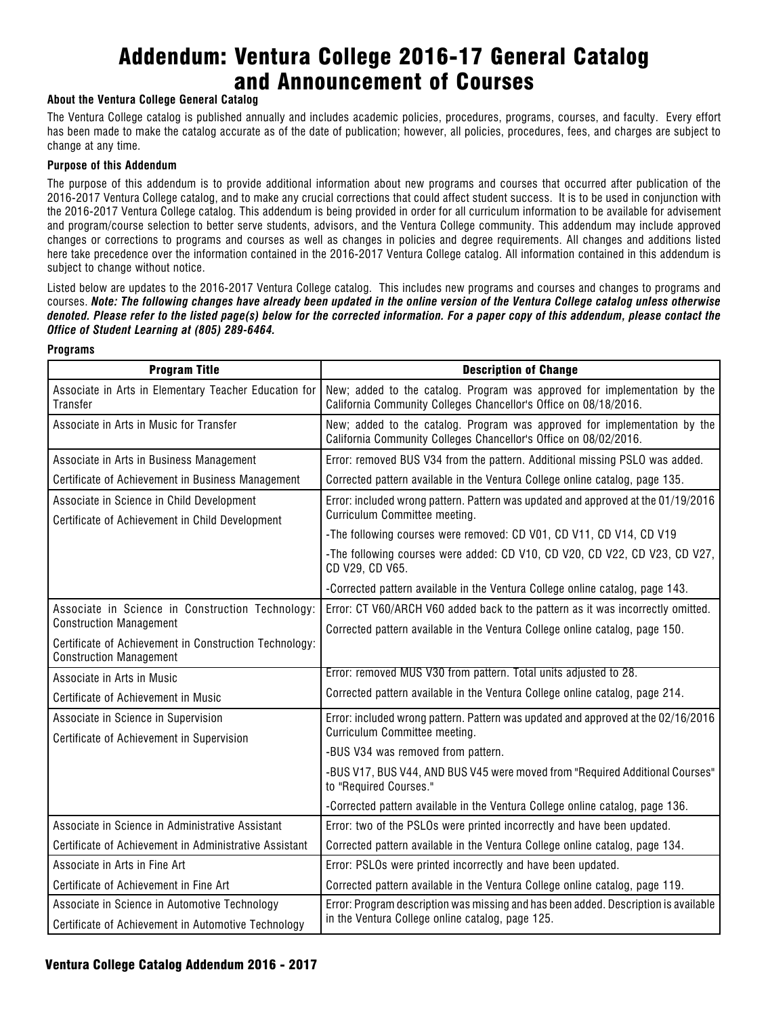# Addendum: Ventura College 2016-17 General Catalog and Announcement of Courses

#### **About the Ventura College General Catalog**

The Ventura College catalog is published annually and includes academic policies, procedures, programs, courses, and faculty. Every effort has been made to make the catalog accurate as of the date of publication; however, all policies, procedures, fees, and charges are subject to change at any time.

#### **Purpose of this Addendum**

The purpose of this addendum is to provide additional information about new programs and courses that occurred after publication of the 2016-2017 Ventura College catalog, and to make any crucial corrections that could affect student success. It is to be used in conjunction with the 2016-2017 Ventura College catalog. This addendum is being provided in order for all curriculum information to be available for advisement and program/course selection to better serve students, advisors, and the Ventura College community. This addendum may include approved changes or corrections to programs and courses as well as changes in policies and degree requirements. All changes and additions listed here take precedence over the information contained in the 2016-2017 Ventura College catalog. All information contained in this addendum is subject to change without notice.

Listed below are updates to the 2016-2017 Ventura College catalog. This includes new programs and courses and changes to programs and courses. *Note: The following changes have already been updated in the online version of the Ventura College catalog unless otherwise denoted. Please refer to the listed page(s) below for the corrected information. For a paper copy of this addendum, please contact the Office of Student Learning at (805) 289-6464.*

#### **Programs**

| <b>Program Title</b>                                                                         | <b>Description of Change</b>                                                                                                                  |  |
|----------------------------------------------------------------------------------------------|-----------------------------------------------------------------------------------------------------------------------------------------------|--|
| Associate in Arts in Elementary Teacher Education for<br>Transfer                            | New; added to the catalog. Program was approved for implementation by the<br>California Community Colleges Chancellor's Office on 08/18/2016. |  |
| Associate in Arts in Music for Transfer                                                      | New; added to the catalog. Program was approved for implementation by the<br>California Community Colleges Chancellor's Office on 08/02/2016. |  |
| Associate in Arts in Business Management                                                     | Error: removed BUS V34 from the pattern. Additional missing PSLO was added.                                                                   |  |
| Certificate of Achievement in Business Management                                            | Corrected pattern available in the Ventura College online catalog, page 135.                                                                  |  |
| Associate in Science in Child Development<br>Certificate of Achievement in Child Development | Error: included wrong pattern. Pattern was updated and approved at the 01/19/2016<br>Curriculum Committee meeting.                            |  |
|                                                                                              | -The following courses were removed: CD V01, CD V11, CD V14, CD V19                                                                           |  |
|                                                                                              | -The following courses were added: CD V10, CD V20, CD V22, CD V23, CD V27,<br>CD V29, CD V65.                                                 |  |
|                                                                                              | -Corrected pattern available in the Ventura College online catalog, page 143.                                                                 |  |
| Associate in Science in Construction Technology:                                             | Error: CT V60/ARCH V60 added back to the pattern as it was incorrectly omitted.                                                               |  |
| <b>Construction Management</b>                                                               | Corrected pattern available in the Ventura College online catalog, page 150.                                                                  |  |
| Certificate of Achievement in Construction Technology:<br><b>Construction Management</b>     |                                                                                                                                               |  |
| Associate in Arts in Music                                                                   | Error: removed MUS V30 from pattern. Total units adjusted to 28.                                                                              |  |
| Certificate of Achievement in Music                                                          | Corrected pattern available in the Ventura College online catalog, page 214.                                                                  |  |
| Associate in Science in Supervision<br>Certificate of Achievement in Supervision             | Error: included wrong pattern. Pattern was updated and approved at the 02/16/2016<br>Curriculum Committee meeting.                            |  |
|                                                                                              | -BUS V34 was removed from pattern.                                                                                                            |  |
|                                                                                              | -BUS V17, BUS V44, AND BUS V45 were moved from "Required Additional Courses"<br>to "Required Courses."                                        |  |
|                                                                                              | -Corrected pattern available in the Ventura College online catalog, page 136.                                                                 |  |
| Associate in Science in Administrative Assistant                                             | Error: two of the PSLOs were printed incorrectly and have been updated.                                                                       |  |
| Certificate of Achievement in Administrative Assistant                                       | Corrected pattern available in the Ventura College online catalog, page 134.                                                                  |  |
| Associate in Arts in Fine Art                                                                | Error: PSLOs were printed incorrectly and have been updated.                                                                                  |  |
| Certificate of Achievement in Fine Art                                                       | Corrected pattern available in the Ventura College online catalog, page 119.                                                                  |  |
| Associate in Science in Automotive Technology                                                | Error: Program description was missing and has been added. Description is available                                                           |  |
| Certificate of Achievement in Automotive Technology                                          | in the Ventura College online catalog, page 125.                                                                                              |  |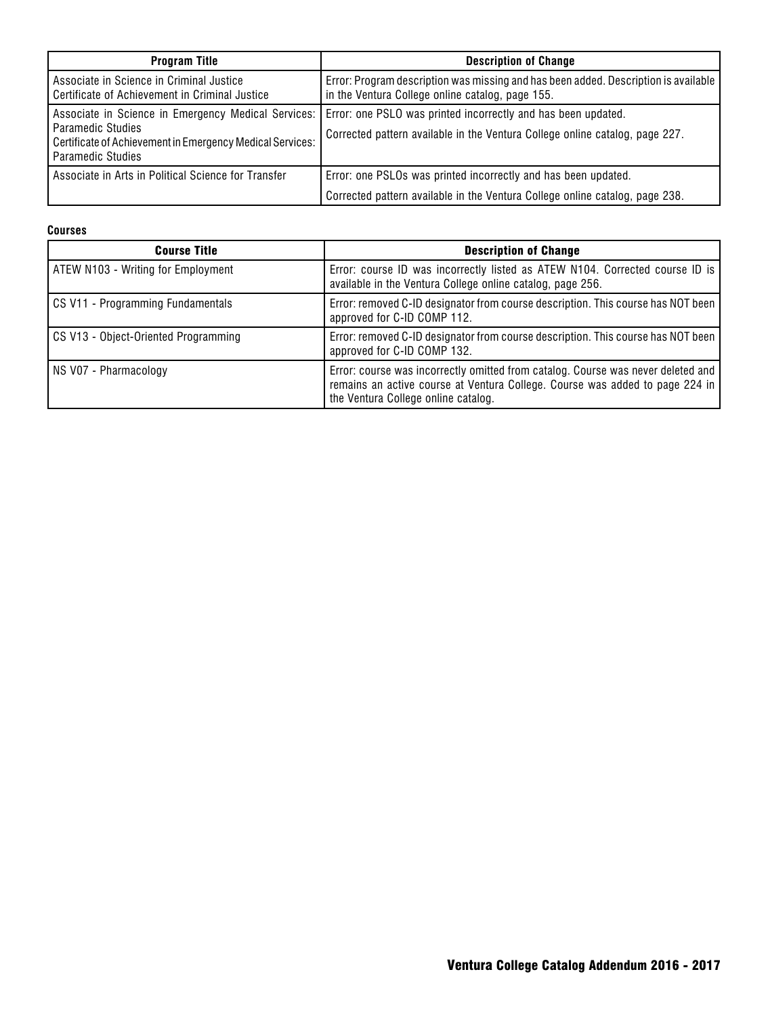| <b>Program Title</b>                                                                                                                                       | <b>Description of Change</b>                                                                                                                   |
|------------------------------------------------------------------------------------------------------------------------------------------------------------|------------------------------------------------------------------------------------------------------------------------------------------------|
| Associate in Science in Criminal Justice<br>Certificate of Achievement in Criminal Justice                                                                 | Error: Program description was missing and has been added. Description is available<br>in the Ventura College online catalog, page 155.        |
| Associate in Science in Emergency Medical Services:<br>Paramedic Studies<br>Certificate of Achievement in Emergency Medical Services:<br>Paramedic Studies | Error: one PSLO was printed incorrectly and has been updated.<br>Corrected pattern available in the Ventura College online catalog, page 227.  |
| Associate in Arts in Political Science for Transfer                                                                                                        | Error: one PSLOs was printed incorrectly and has been updated.<br>Corrected pattern available in the Ventura College online catalog, page 238. |

#### **Courses**

| <b>Course Title</b>                  | <b>Description of Change</b>                                                                                                                                                                            |
|--------------------------------------|---------------------------------------------------------------------------------------------------------------------------------------------------------------------------------------------------------|
| ATEW N103 - Writing for Employment   | Error: course ID was incorrectly listed as ATEW N104. Corrected course ID is<br>available in the Ventura College online catalog, page 256.                                                              |
| CS V11 - Programming Fundamentals    | Error: removed C-ID designator from course description. This course has NOT been<br>approved for C-ID COMP 112.                                                                                         |
| CS V13 - Object-Oriented Programming | Error: removed C-ID designator from course description. This course has NOT been<br>approved for C-ID COMP 132.                                                                                         |
| NS V07 - Pharmacology                | Error: course was incorrectly omitted from catalog. Course was never deleted and<br>remains an active course at Ventura College. Course was added to page 224 in<br>the Ventura College online catalog. |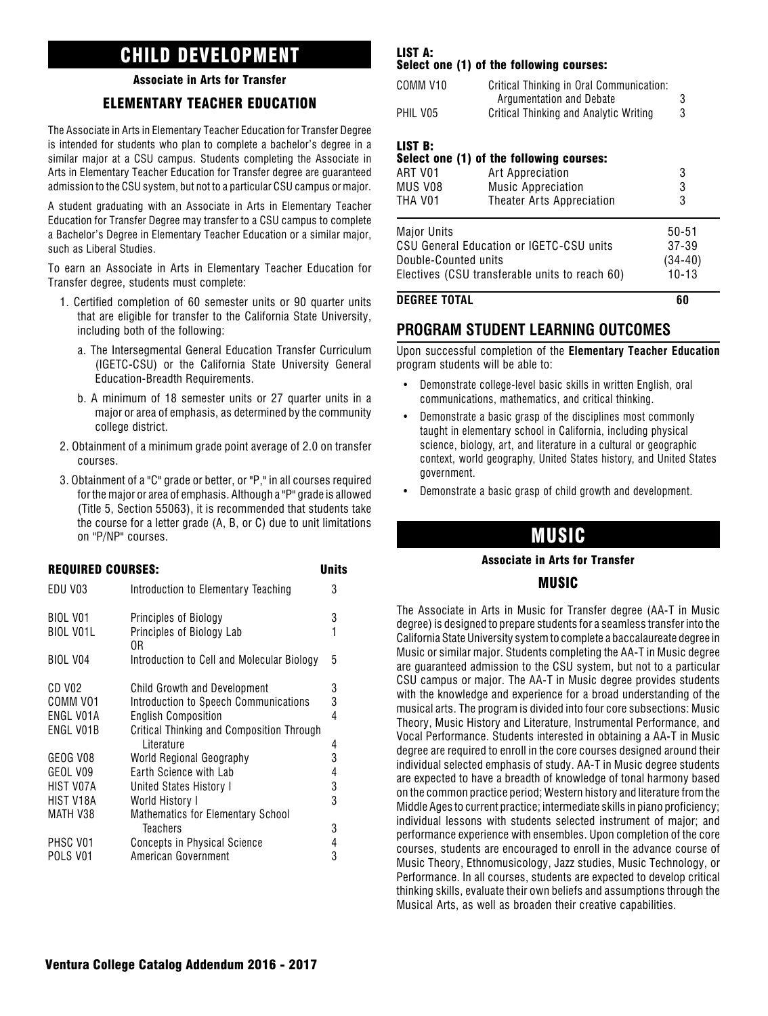## CHILD DEVELOPMENT

### Associate in Arts for Transfer

## ELEMENTARY TEACHER EDUCATION

The Associate in Arts in Elementary Teacher Education for Transfer Degree is intended for students who plan to complete a bachelor's degree in a similar major at a CSU campus. Students completing the Associate in Arts in Elementary Teacher Education for Transfer degree are guaranteed admission to the CSU system, but not to a particular CSU campus or major.

A student graduating with an Associate in Arts in Elementary Teacher Education for Transfer Degree may transfer to a CSU campus to complete a Bachelor's Degree in Elementary Teacher Education or a similar major, such as Liberal Studies.

To earn an Associate in Arts in Elementary Teacher Education for Transfer degree, students must complete:

- 1. Certified completion of 60 semester units or 90 quarter units that are eligible for transfer to the California State University, including both of the following:
	- a. The Intersegmental General Education Transfer Curriculum (IGETC-CSU) or the California State University General Education-Breadth Requirements.
	- b. A minimum of 18 semester units or 27 quarter units in a major or area of emphasis, as determined by the community college district.
- 2. Obtainment of a minimum grade point average of 2.0 on transfer courses.
- 3. Obtainment of a "C" grade or better, or "P," in all courses required for the major or area of emphasis. Although a "P" grade is allowed (Title 5, Section 55063), it is recommended that students take the course for a letter grade (A, B, or C) due to unit limitations on "P/NP" courses.

|                                              | <b>REQUIRED COURSES:</b>                                                                                                                                | <b>Units</b> |
|----------------------------------------------|---------------------------------------------------------------------------------------------------------------------------------------------------------|--------------|
| EDU V03                                      | Introduction to Elementary Teaching                                                                                                                     | 3            |
| BIOL V01<br><b>BIOL VO1L</b>                 | Principles of Biology<br>Principles of Biology Lab<br>0R                                                                                                | 3            |
| <b>BIOL V04</b>                              | Introduction to Cell and Molecular Biology                                                                                                              | 5            |
| CD V02<br>COMM VO1<br>ENGL V01A<br>ENGL V01B | <b>Child Growth and Development</b><br>Introduction to Speech Communications<br><b>English Composition</b><br>Critical Thinking and Composition Through | 3<br>3<br>4  |
| GEOG V08                                     | I iterature<br>World Regional Geography                                                                                                                 | 4<br>3       |
| GEOL V09<br>HIST V07A                        | Earth Science with Lab<br>United States History I                                                                                                       | 4<br>3       |
| HIST V18A<br>MATH V38                        | World History I<br>Mathematics for Elementary School                                                                                                    | 3            |
| PHSC V01<br>POLS V01                         | <b>Teachers</b><br>Concepts in Physical Science<br>American Government                                                                                  | 3<br>4<br>3  |
|                                              |                                                                                                                                                         |              |

#### LIST A: Select one (1) of the following courses:

| COMM V <sub>10</sub><br>PHIL V05         | Critical Thinking in Oral Communication:<br>Argumentation and Debate<br>Critical Thinking and Analytic Writing         | 3<br>3                                       |
|------------------------------------------|------------------------------------------------------------------------------------------------------------------------|----------------------------------------------|
| LIST B:<br>ART V01<br>MUS V08<br>THA V01 | Select one (1) of the following courses:<br>Art Appreciation<br><b>Music Appreciation</b><br>Theater Arts Appreciation | 3<br>3<br>3                                  |
| Major Units<br>Double-Counted units      | CSU General Education or IGETC-CSU units<br>Electives (CSU transferable units to reach 60)                             | $50 - 51$<br>37-39<br>$(34-40)$<br>$10 - 13$ |

**DEGREE TOTAL 60**

## **PROGRAM STUDENT LEARNING OUTCOMES**

Upon successful completion of the **Elementary Teacher Education** program students will be able to:

- Demonstrate college-level basic skills in written English, oral communications, mathematics, and critical thinking.
- Demonstrate a basic grasp of the disciplines most commonly taught in elementary school in California, including physical science, biology, art, and literature in a cultural or geographic context, world geography, United States history, and United States government.
- Demonstrate a basic grasp of child growth and development.

## MUSIC

#### Associate in Arts for Transfer

### MUSIC

The Associate in Arts in Music for Transfer degree (AA-T in Music degree) is designed to prepare students for a seamless transfer into the California State University system to complete a baccalaureate degree in Music or similar major. Students completing the AA-T in Music degree are guaranteed admission to the CSU system, but not to a particular CSU campus or major. The AA-T in Music degree provides students with the knowledge and experience for a broad understanding of the musical arts. The program is divided into four core subsections: Music Theory, Music History and Literature, Instrumental Performance, and Vocal Performance. Students interested in obtaining a AA-T in Music degree are required to enroll in the core courses designed around their individual selected emphasis of study. AA-T in Music degree students are expected to have a breadth of knowledge of tonal harmony based on the common practice period; Western history and literature from the Middle Ages to current practice; intermediate skills in piano proficiency; individual lessons with students selected instrument of major; and performance experience with ensembles. Upon completion of the core courses, students are encouraged to enroll in the advance course of Music Theory, Ethnomusicology, Jazz studies, Music Technology, or Performance. In all courses, students are expected to develop critical thinking skills, evaluate their own beliefs and assumptions through the Musical Arts, as well as broaden their creative capabilities.